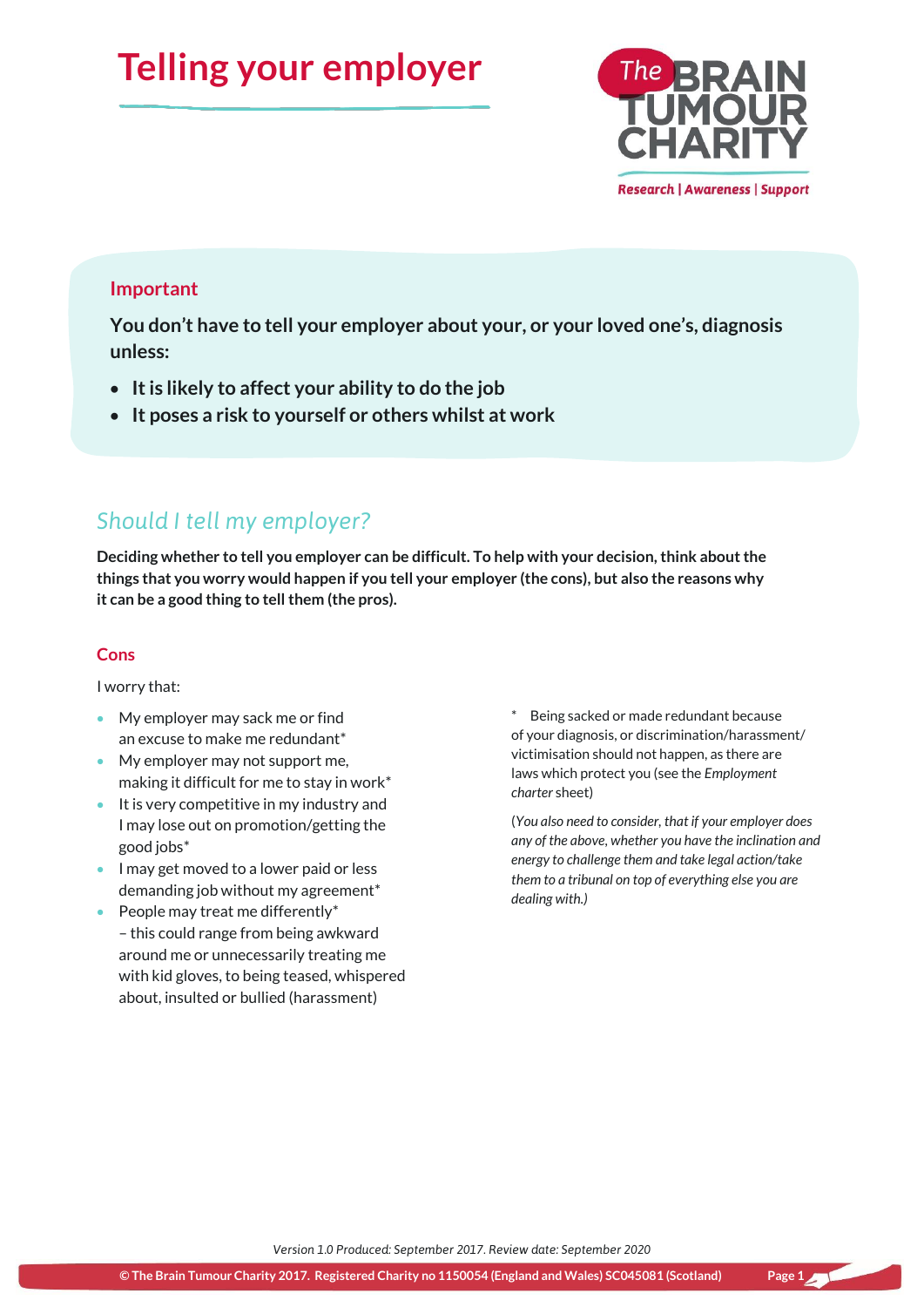# **Telling your employer**



## **Important**

**You don't have to tell your employer about your, or your loved one's, diagnosis unless:**

- **It is likely to affect your ability to do the job**
- **It poses a risk to yourself or others whilst at work**

# *Should I tell my employer?*

**Deciding whether to tell you employer can be difficult. To help with your decision, think about the things that you worry would happen if you tell your employer (the cons), but also the reasons why it can be a good thing to tell them (the pros).**

### **Cons**

I worry that:

- My employer may sack me or find an excuse to make me redundant\*
- My employer may not support me, making it difficult for me to stay in work\*
- It is very competitive in my industry and I may lose out on promotion/getting the good jobs\*
- I may get moved to a lower paid or less demanding job without my agreement\*
- $\bullet$  People may treat me differently\* – this could range from being awkward around me or unnecessarily treating me with kid gloves, to being teased, whispered about, insulted or bullied (harassment)

Being sacked or made redundant because of your diagnosis, or discrimination/harassment/ victimisation should not happen, as there are laws which protect you (see the *Employment charter* sheet)

(*You also need to consider, that if your employer does any of the above, whether you have the inclination and energy to challenge them and take legal action/take them to a tribunal on top of everything else you are dealing with.)*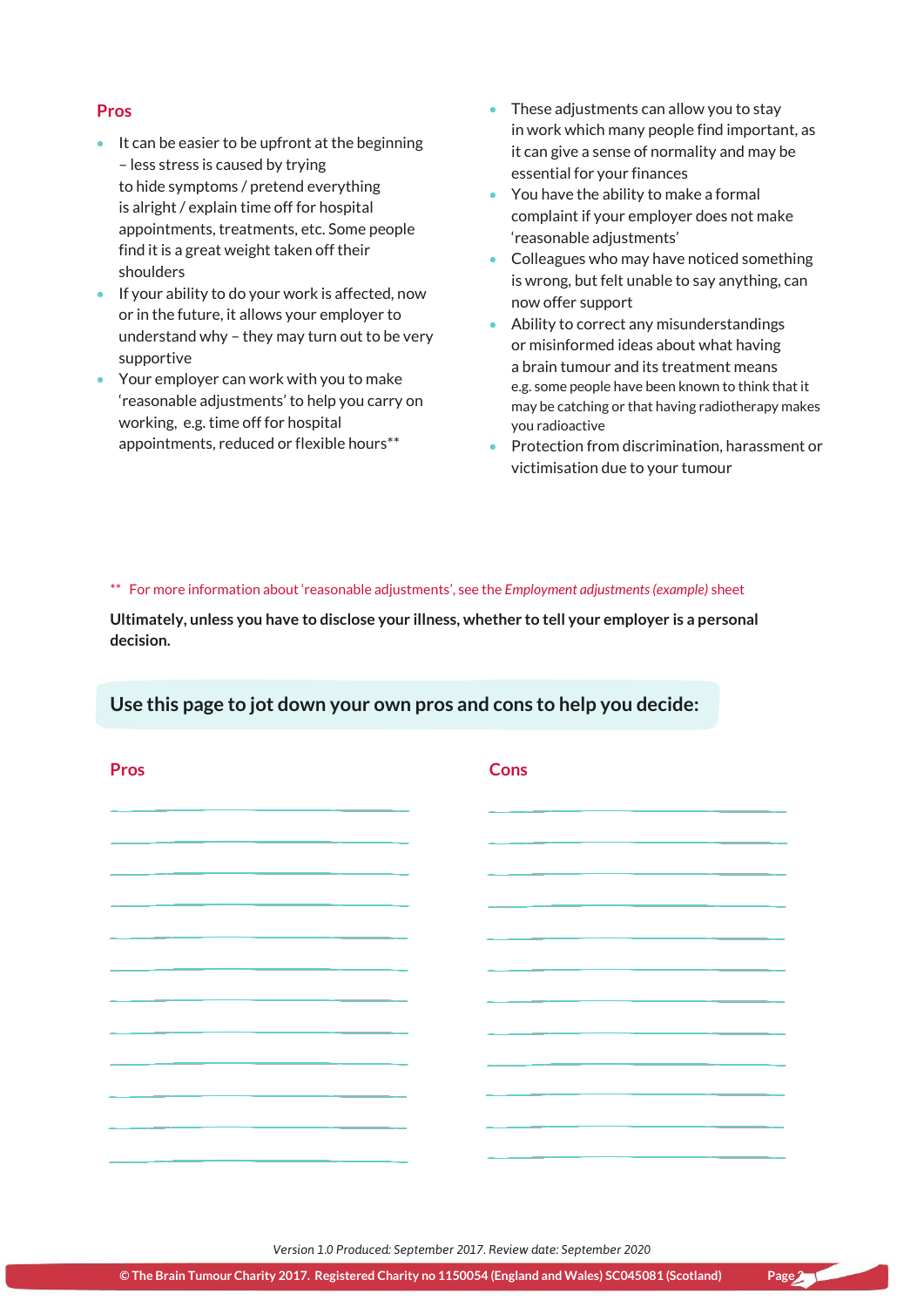### **Pros**

- $\bullet$  It can be easier to be upfront at the beginning – less stress is caused by trying to hide symptoms / pretend everything is alright / explain time off for hospital appointments, treatments, etc. Some people find it is a great weight taken off their shoulders
- **If your ability to do your work is affected, now** or in the future, it allows your employer to understand why – they may turn out to be very supportive
- Your employer can work with you to make 'reasonable adjustments' to help you carry on working, e.g. time off for hospital appointments, reduced or flexible hours\*\*
- These adjustments can allow you to stay in work which many people find important, as it can give a sense of normality and may be essential for your finances
- You have the ability to make a formal complaint if your employer does not make 'reasonable adjustments'
- Colleagues who may have noticed something is wrong, but felt unable to say anything, can now offer support
- Ability to correct any misunderstandings or misinformed ideas about what having a brain tumour and its treatment means e.g. some people have been known to think that it may be catching or that having radiotherapy makes you radioactive
- Protection from discrimination, harassment or victimisation due to your tumour

\*\* For more information about 'reasonable adjustments', see the *Employment adjustments (example)* sheet

**Ultimately, unless you have to disclose your illness, whether to tell your employer is a personal decision.**

### **Use this page to jot down your own pros and cons to help you decide:**

| <b>Pros</b> | <b>Cons</b> |  |
|-------------|-------------|--|
|             |             |  |
|             |             |  |
|             |             |  |
|             |             |  |
|             |             |  |
|             |             |  |
|             |             |  |
|             |             |  |
|             |             |  |
|             |             |  |
|             |             |  |

*Version 1.0 Produced: September 2017. Review date: September 2020*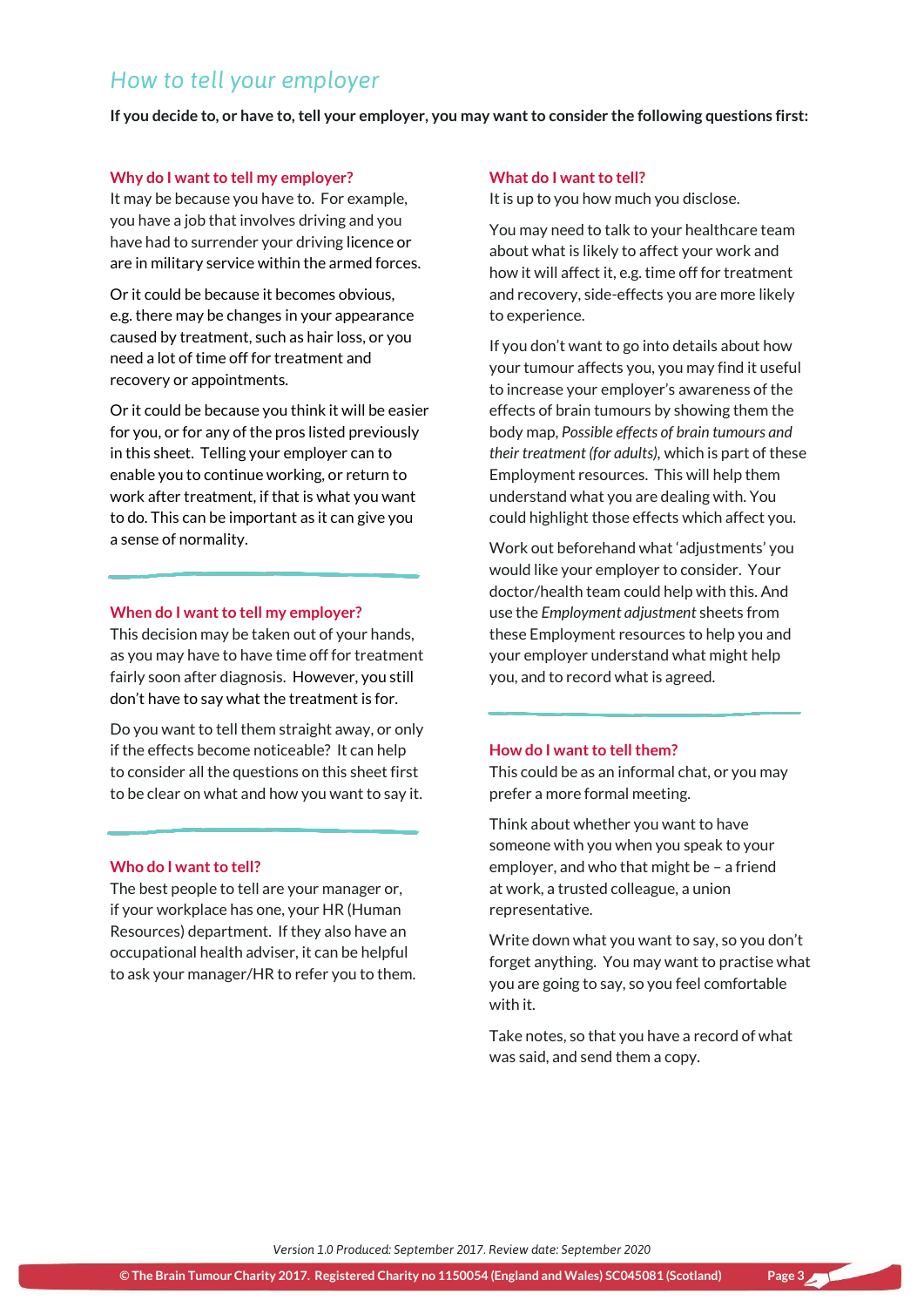# *How to tell your employer*

**If you decide to, or have to, tell your employer, you may want to consider the following questions first:** 

#### **Why do I want to tell my employer?**

It may be because you have to. For example, you have a job that involves driving and you have had to surrender your driving licence or are in military service within the armed forces.

Or it could be because it becomes obvious, e.g. there may be changes in your appearance caused by treatment, such as hair loss, or you need a lot of time off for treatment and recovery or appointments.

Or it could be because you think it will be easier for you, or for any of the pros listed previously in this sheet. Telling your employer can to enable you to continue working, or return to work after treatment, if that is what you want to do. This can be important as it can give you a sense of normality.

#### **When do I want to tell my employer?**

This decision may be taken out of your hands, as you may have to have time off for treatment fairly soon after diagnosis. However, you still don't have to say what the treatment is for.

Do you want to tell them straight away, or only if the effects become noticeable? It can help to consider all the questions on this sheet first to be clear on what and how you want to say it.

#### **Who do I want to tell?**

The best people to tell are your manager or, if your workplace has one, your HR (Human Resources) department. If they also have an occupational health adviser, it can be helpful to ask your manager/HR to refer you to them.

#### **What do I want to tell?**

It is up to you how much you disclose.

You may need to talk to your healthcare team about what is likely to affect your work and how it will affect it, e.g. time off for treatment and recovery, side-effects you are more likely to experience.

If you don't want to go into details about how your tumour affects you, you may find it useful to increase your employer's awareness of the effects of brain tumours by showing them the body map, *Possible effects of brain tumours and their treatment (for adults),* which is part of these Employment resources. This will help them understand what you are dealing with. You could highlight those effects which affect you.

Work out beforehand what 'adjustments' you would like your employer to consider. Your doctor/health team could help with this. And use the *Employment adjustment* sheets from these Employment resources to help you and your employer understand what might help you, and to record what is agreed.

#### **How do I want to tell them?**

This could be as an informal chat, or you may prefer a more formal meeting.

Think about whether you want to have someone with you when you speak to your employer, and who that might be – a friend at work, a trusted colleague, a union representative.

Write down what you want to say, so you don't forget anything. You may want to practise what you are going to say, so you feel comfortable with it.

Take notes, so that you have a record of what was said, and send them a copy.